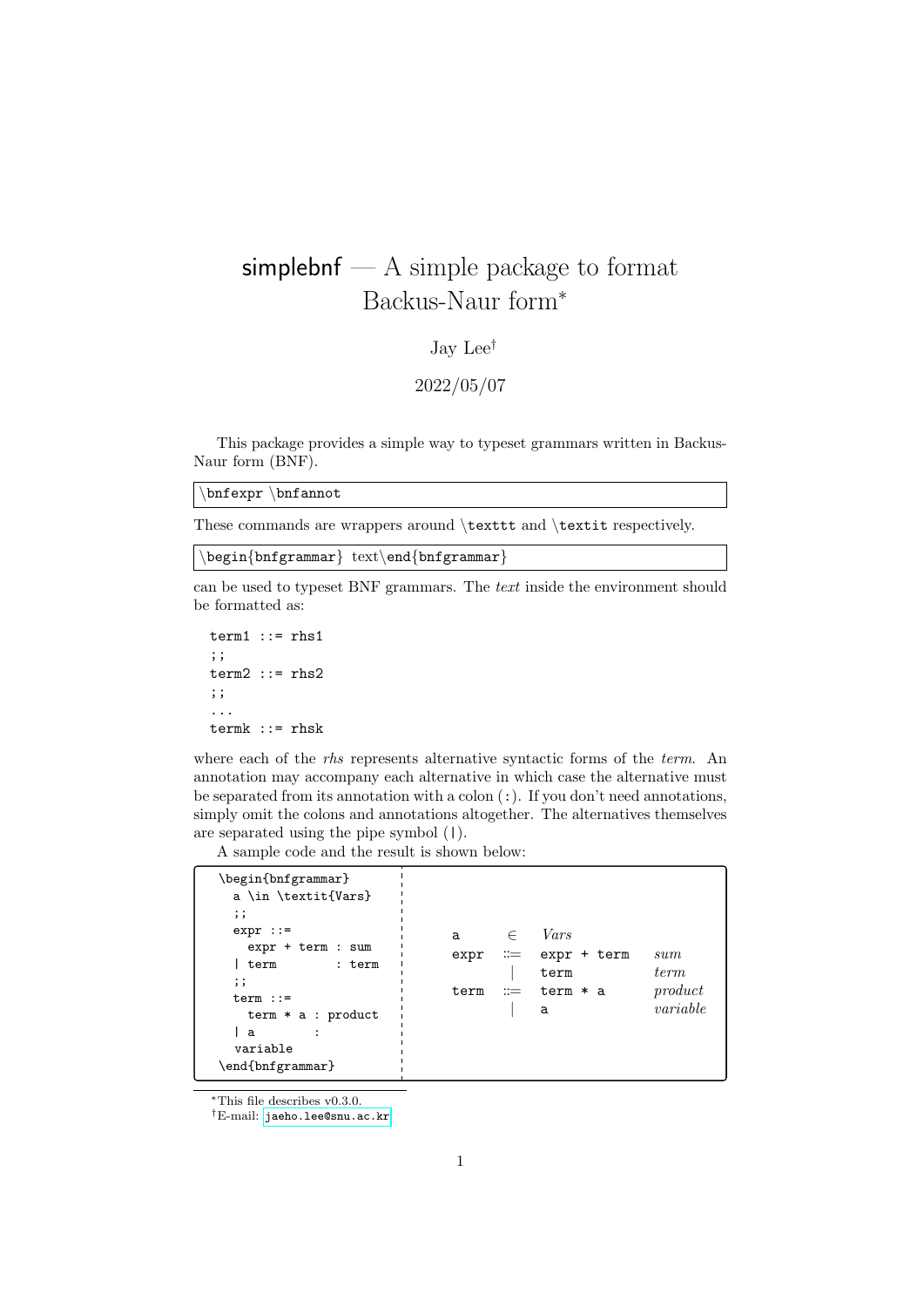## simplebnf  $- A$  simple package to format Backus-Naur form<sup>∗</sup>

## Jay Lee†

## 2022/05/07

This package provides a simple way to typeset grammars written in Backus-Naur form (BNF).

\bnfexpr \bnfannot

These commands are wrappers around \texttt and \textit respectively.

\begin{bnfgrammar} text\end{bnfgrammar}

can be used to typeset BNF grammars. The text inside the environment should be formatted as:

 $term1 :: = rhs1$ ;;  $term2 :: = rhs2$ ;; ... termk ::= rhsk

where each of the *rhs* represents alternative syntactic forms of the *term*. An annotation may accompany each alternative in which case the alternative must be separated from its annotation with a colon (:). If you don't need annotations, simply omit the colons and annotations altogether. The alternatives themselves are separated using the pipe symbol (|).

A sample code and the result is shown below:

| a<br>variable<br>\end{bnfgrammar} | \begin{bnfgrammar}<br>a \in \textit{Vars}<br>$\vdots$<br>$expr :: =$<br>a<br>expr + term : sum<br>expr<br>term<br>: term<br>$\vdots$<br>term<br>$term :: =$<br>$term * a : product$ | Vars<br>$\in$<br>$\mathrel{\mathop:}=$ expr + term<br>sum<br><i>term</i><br>term<br>product<br>$\mathrel{\mathop:}=$ term $*$ a<br>variable<br>а |  |
|-----------------------------------|-------------------------------------------------------------------------------------------------------------------------------------------------------------------------------------|--------------------------------------------------------------------------------------------------------------------------------------------------|--|
|-----------------------------------|-------------------------------------------------------------------------------------------------------------------------------------------------------------------------------------|--------------------------------------------------------------------------------------------------------------------------------------------------|--|

<sup>∗</sup>This file describes v0.3.0.

†E-mail: [jaeho.lee@snu.ac.kr](mailto:jaeho.lee@snu.ac.kr)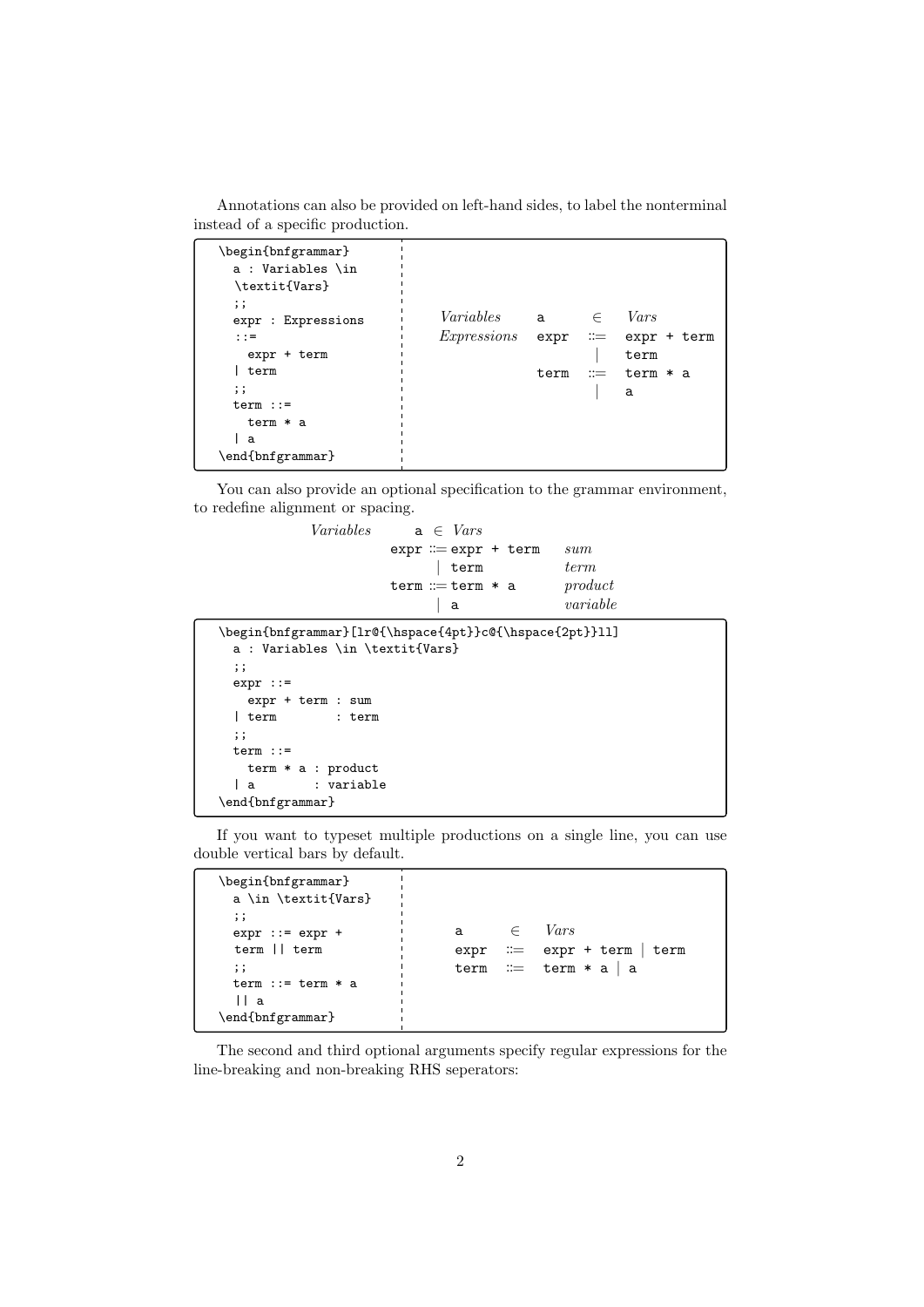Annotations can also be provided on left-hand sides, to label the nonterminal instead of a specific production.

| \begin{bnfgrammar}<br>a : Variables \in<br>\textit{Vars}<br>$\vdots$ |             |      |                       |             |
|----------------------------------------------------------------------|-------------|------|-----------------------|-------------|
| expr : Expressions                                                   | Variables a |      | $\in$                 | Vars        |
| $: : =$                                                              | Expressions | expr | $\mathrel{\mathop:}=$ | expr + term |
| expr + term                                                          |             |      |                       | term        |
| term                                                                 |             | term | $\mathrel{\mathop:}=$ | term * a    |
| $\vdots$                                                             |             |      |                       | a           |
| $term :: =$                                                          |             |      |                       |             |
| term * a                                                             |             |      |                       |             |
| a                                                                    |             |      |                       |             |
| \end{bnfgrammar}                                                     |             |      |                       |             |

You can also provide an optional specification to the grammar environment, to redefine alignment or spacing.

> Variables  $a \in Vars$  $expr ::= expr + term \quad sum$  $\vert$  term  $term$  $\mathtt{term} \, \mathrel{\mathop:}= \mathtt{term} \, \ast \, \mathtt{a} \hspace{1cm} \textit{product}$ | a variable

```
\begin{bnfgrammar}[lr@{\hspace{4pt}}c@{\hspace{2pt}}ll]
 a : Variables \in \textit{Vars}
 ;;
 expr ::=
   expr + term : sum
 | term : term
 ;;
 term ::=
   term * a : product
 | a : variable
\end{bnfgrammar}
```
If you want to typeset multiple productions on a single line, you can use double vertical bars by default.

```
\begin{bnfgrammar}
 a \in \textit{Vars}
 ;;
 expr := expr +term || term
 ;;
 term ::= term * a|| a
\end{bnfgrammar}
                             a \in Varsexpr := expr + term | termterm := term * a | a
```
The second and third optional arguments specify regular expressions for the line-breaking and non-breaking RHS seperators: